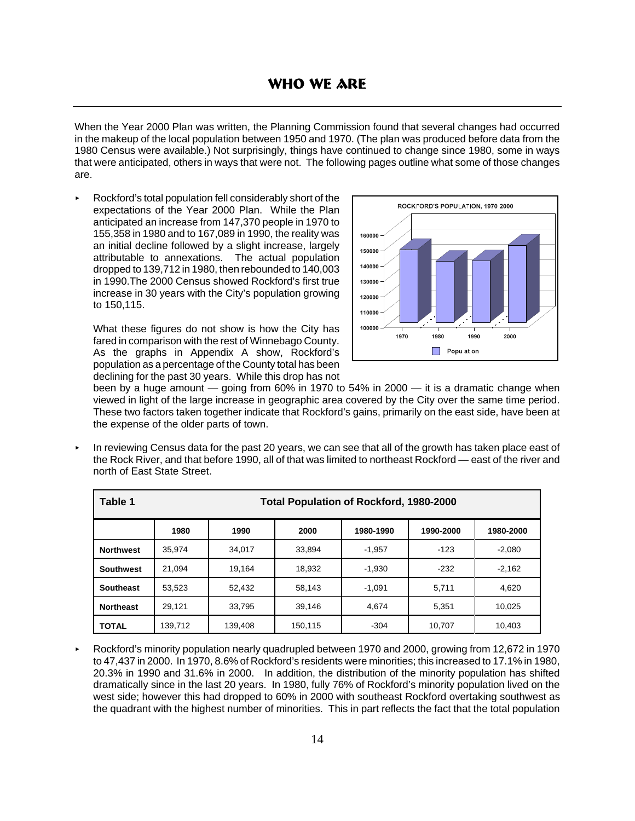# **WHO WE ARE**

When the Year 2000 Plan was written, the Planning Commission found that several changes had occurred in the makeup of the local population between 1950 and 1970. (The plan was produced before data from the 1980 Census were available.) Not surprisingly, things have continued to change since 1980, some in ways that were anticipated, others in ways that were not. The following pages outline what some of those changes are.

< Rockford's total population fell considerably short of the expectations of the Year 2000 Plan. While the Plan anticipated an increase from 147,370 people in 1970 to 155,358 in 1980 and to 167,089 in 1990, the reality was an initial decline followed by a slight increase, largely attributable to annexations. The actual population dropped to 139,712 in 1980, then rebounded to 140,003 in 1990.The 2000 Census showed Rockford's first true increase in 30 years with the City's population growing to 150,115.

What these figures do not show is how the City has fared in comparison with the rest of Winnebago County. As the graphs in Appendix A show, Rockford's population as a percentage of the County total has been declining for the past 30 years. While this drop has not



been by a huge amount — going from 60% in 1970 to 54% in 2000 — it is a dramatic change when viewed in light of the large increase in geographic area covered by the City over the same time period. These two factors taken together indicate that Rockford's gains, primarily on the east side, have been at the expense of the older parts of town.

< In reviewing Census data for the past 20 years, we can see that all of the growth has taken place east of the Rock River, and that before 1990, all of that was limited to northeast Rockford — east of the river and north of East State Street.

| Table 1          | <b>Total Population of Rockford, 1980-2000</b> |         |         |           |           |           |  |
|------------------|------------------------------------------------|---------|---------|-----------|-----------|-----------|--|
|                  | 1980                                           | 1990    | 2000    | 1980-1990 | 1990-2000 | 1980-2000 |  |
| <b>Northwest</b> | 35.974                                         | 34.017  | 33.894  | $-1.957$  | $-123$    | $-2,080$  |  |
| <b>Southwest</b> | 21.094                                         | 19.164  | 18,932  | $-1,930$  | $-232$    | $-2,162$  |  |
| <b>Southeast</b> | 53.523                                         | 52.432  | 58.143  | $-1.091$  | 5.711     | 4,620     |  |
| <b>Northeast</b> | 29.121                                         | 33.795  | 39.146  | 4,674     | 5.351     | 10,025    |  |
| <b>TOTAL</b>     | 139,712                                        | 139.408 | 150.115 | $-304$    | 10.707    | 10,403    |  |

< Rockford's minority population nearly quadrupled between 1970 and 2000, growing from 12,672 in 1970 to 47,437 in 2000. In 1970, 8.6% of Rockford's residents were minorities; this increased to 17.1% in 1980, 20.3% in 1990 and 31.6% in 2000. In addition, the distribution of the minority population has shifted dramatically since in the last 20 years. In 1980, fully 76% of Rockford's minority population lived on the west side; however this had dropped to 60% in 2000 with southeast Rockford overtaking southwest as the quadrant with the highest number of minorities. This in part reflects the fact that the total population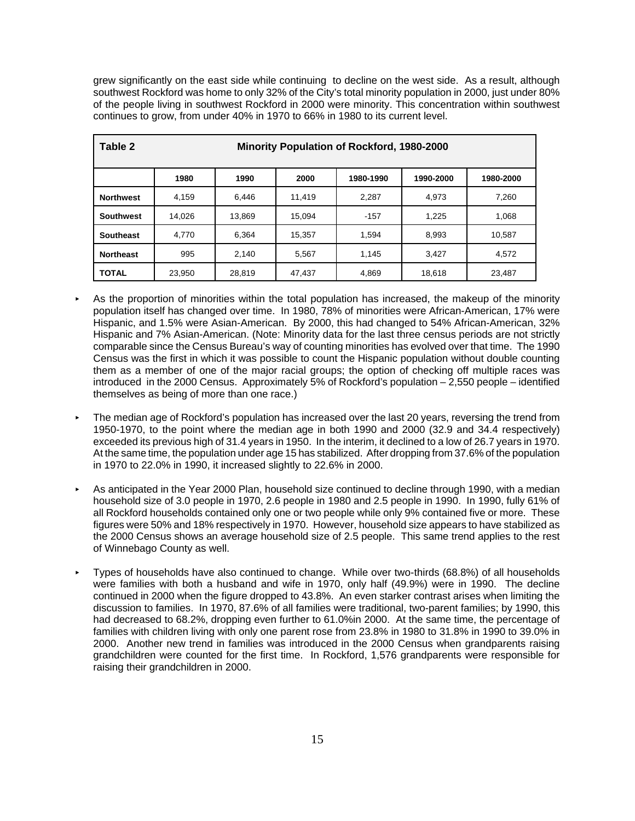grew significantly on the east side while continuing to decline on the west side. As a result, although southwest Rockford was home to only 32% of the City's total minority population in 2000, just under 80% of the people living in southwest Rockford in 2000 were minority. This concentration within southwest continues to grow, from under 40% in 1970 to 66% in 1980 to its current level.

| Table 2          | <b>Minority Population of Rockford, 1980-2000</b> |        |        |           |           |           |  |
|------------------|---------------------------------------------------|--------|--------|-----------|-----------|-----------|--|
|                  | 1980                                              | 1990   | 2000   | 1980-1990 | 1990-2000 | 1980-2000 |  |
| <b>Northwest</b> | 4.159                                             | 6.446  | 11.419 | 2.287     | 4,973     | 7,260     |  |
| <b>Southwest</b> | 14,026                                            | 13,869 | 15.094 | $-157$    | 1,225     | 1,068     |  |
| <b>Southeast</b> | 4,770                                             | 6.364  | 15,357 | 1.594     | 8,993     | 10,587    |  |
| <b>Northeast</b> | 995                                               | 2,140  | 5,567  | 1,145     | 3.427     | 4,572     |  |
| <b>TOTAL</b>     | 23,950                                            | 28,819 | 47,437 | 4,869     | 18,618    | 23,487    |  |

- As the proportion of minorities within the total population has increased, the makeup of the minority population itself has changed over time. In 1980, 78% of minorities were African-American, 17% were Hispanic, and 1.5% were Asian-American. By 2000, this had changed to 54% African-American, 32% Hispanic and 7% Asian-American. (Note: Minority data for the last three census periods are not strictly comparable since the Census Bureau's way of counting minorities has evolved over that time. The 1990 Census was the first in which it was possible to count the Hispanic population without double counting them as a member of one of the major racial groups; the option of checking off multiple races was introduced in the 2000 Census. Approximately 5% of Rockford's population – 2,550 people – identified themselves as being of more than one race.)
- The median age of Rockford's population has increased over the last 20 years, reversing the trend from 1950-1970, to the point where the median age in both 1990 and 2000 (32.9 and 34.4 respectively) exceeded its previous high of 31.4 years in 1950. In the interim, it declined to a low of 26.7 years in 1970. At the same time, the population under age 15 has stabilized. After dropping from 37.6% of the population in 1970 to 22.0% in 1990, it increased slightly to 22.6% in 2000.
- As anticipated in the Year 2000 Plan, household size continued to decline through 1990, with a median household size of 3.0 people in 1970, 2.6 people in 1980 and 2.5 people in 1990. In 1990, fully 61% of all Rockford households contained only one or two people while only 9% contained five or more. These figures were 50% and 18% respectively in 1970. However, household size appears to have stabilized as the 2000 Census shows an average household size of 2.5 people. This same trend applies to the rest of Winnebago County as well.
- < Types of households have also continued to change. While over two-thirds (68.8%) of all households were families with both a husband and wife in 1970, only half (49.9%) were in 1990. The decline continued in 2000 when the figure dropped to 43.8%. An even starker contrast arises when limiting the discussion to families. In 1970, 87.6% of all families were traditional, two-parent families; by 1990, this had decreased to 68.2%, dropping even further to 61.0% in 2000. At the same time, the percentage of families with children living with only one parent rose from 23.8% in 1980 to 31.8% in 1990 to 39.0% in 2000. Another new trend in families was introduced in the 2000 Census when grandparents raising grandchildren were counted for the first time. In Rockford, 1,576 grandparents were responsible for raising their grandchildren in 2000.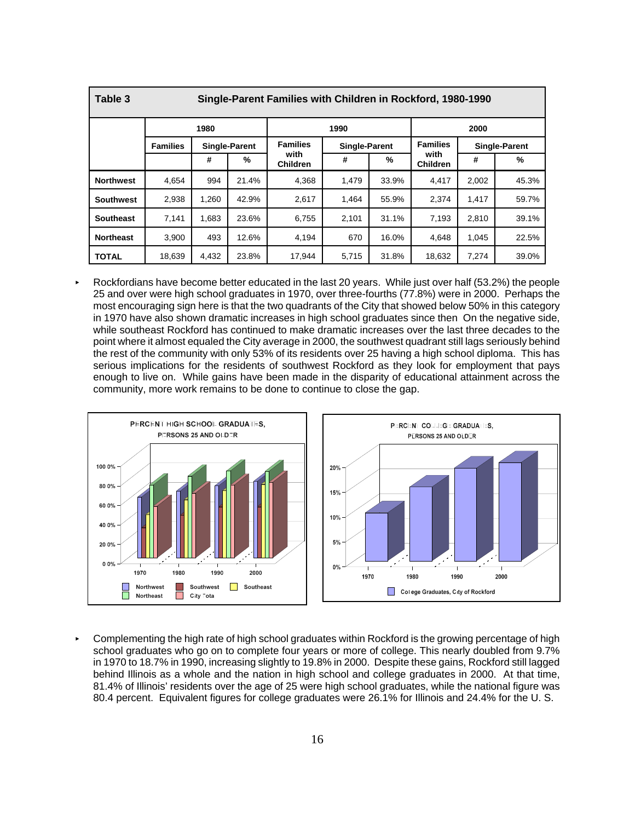| Table 3          | Single-Parent Families with Children in Rockford, 1980-1990 |       |                      |                         |                      |       |                         |                      |       |
|------------------|-------------------------------------------------------------|-------|----------------------|-------------------------|----------------------|-------|-------------------------|----------------------|-------|
|                  | 1980                                                        |       |                      |                         | 1990                 | 2000  |                         |                      |       |
|                  | <b>Families</b>                                             |       | <b>Single-Parent</b> | <b>Families</b>         | <b>Single-Parent</b> |       | <b>Families</b>         | <b>Single-Parent</b> |       |
|                  |                                                             | #     | %                    | with<br><b>Children</b> | #                    | %     | with<br><b>Children</b> | #                    | $\%$  |
| <b>Northwest</b> | 4,654                                                       | 994   | 21.4%                | 4,368                   | 1,479                | 33.9% | 4.417                   | 2,002                | 45.3% |
| <b>Southwest</b> | 2,938                                                       | 1,260 | 42.9%                | 2,617                   | 1,464                | 55.9% | 2.374                   | 1.417                | 59.7% |
| <b>Southeast</b> | 7,141                                                       | 1,683 | 23.6%                | 6,755                   | 2,101                | 31.1% | 7,193                   | 2,810                | 39.1% |
| <b>Northeast</b> | 3,900                                                       | 493   | 12.6%                | 4,194                   | 670                  | 16.0% | 4.648                   | 1.045                | 22.5% |
| <b>TOTAL</b>     | 18,639                                                      | 4,432 | 23.8%                | 17,944                  | 5,715                | 31.8% | 18,632                  | 7,274                | 39.0% |

< Rockfordians have become better educated in the last 20 years. While just over half (53.2%) the people 25 and over were high school graduates in 1970, over three-fourths (77.8%) were in 2000. Perhaps the most encouraging sign here is that the two quadrants of the City that showed below 50% in this category in 1970 have also shown dramatic increases in high school graduates since then On the negative side, while southeast Rockford has continued to make dramatic increases over the last three decades to the point where it almost equaled the City average in 2000, the southwest quadrant still lags seriously behind the rest of the community with only 53% of its residents over 25 having a high school diploma. This has serious implications for the residents of southwest Rockford as they look for employment that pays enough to live on. While gains have been made in the disparity of educational attainment across the community, more work remains to be done to continue to close the gap.



Complementing the high rate of high school graduates within Rockford is the growing percentage of high school graduates who go on to complete four years or more of college. This nearly doubled from 9.7% in 1970 to 18.7% in 1990, increasing slightly to 19.8% in 2000. Despite these gains, Rockford still lagged behind Illinois as a whole and the nation in high school and college graduates in 2000. At that time, 81.4% of Illinois' residents over the age of 25 were high school graduates, while the national figure was 80.4 percent. Equivalent figures for college graduates were 26.1% for Illinois and 24.4% for the U. S.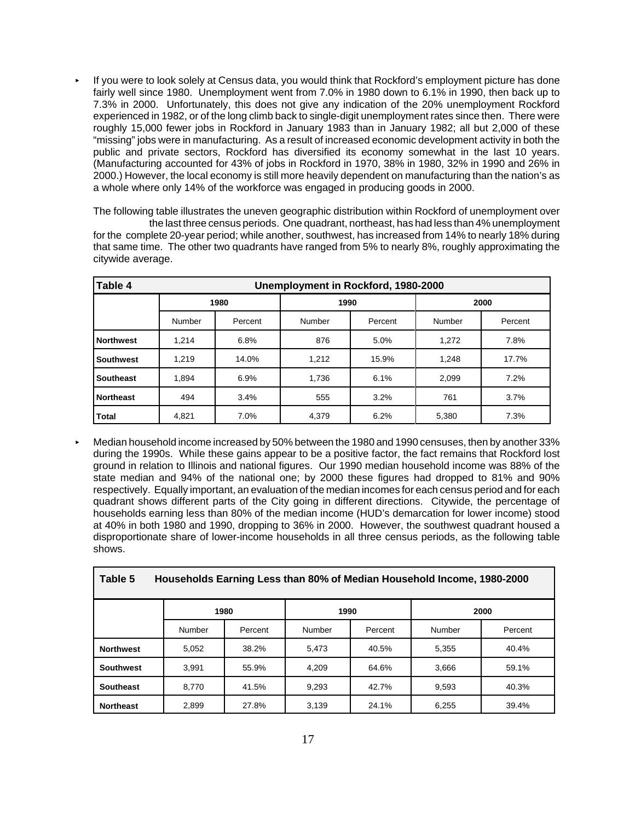If you were to look solely at Census data, you would think that Rockford's employment picture has done fairly well since 1980. Unemployment went from 7.0% in 1980 down to 6.1% in 1990, then back up to 7.3% in 2000. Unfortunately, this does not give any indication of the 20% unemployment Rockford experienced in 1982, or of the long climb back to single-digit unemployment rates since then. There were roughly 15,000 fewer jobs in Rockford in January 1983 than in January 1982; all but 2,000 of these "missing" jobs were in manufacturing. As a result of increased economic development activity in both the public and private sectors, Rockford has diversified its economy somewhat in the last 10 years. (Manufacturing accounted for 43% of jobs in Rockford in 1970, 38% in 1980, 32% in 1990 and 26% in 2000.) However, the local economy is still more heavily dependent on manufacturing than the nation's as a whole where only 14% of the workforce was engaged in producing goods in 2000.

The following table illustrates the uneven geographic distribution within Rockford of unemployment over the last three census periods. One quadrant, northeast, has had less than 4% unemployment for the complete 20-year period; while another, southwest, has increased from 14% to nearly 18% during that same time. The other two quadrants have ranged from 5% to nearly 8%, roughly approximating the citywide average.

| Table 4          | Unemployment in Rockford, 1980-2000 |         |        |         |        |         |  |  |
|------------------|-------------------------------------|---------|--------|---------|--------|---------|--|--|
|                  | 1980                                |         | 1990   |         |        | 2000    |  |  |
|                  | Number                              | Percent | Number | Percent | Number | Percent |  |  |
| <b>Northwest</b> | 1.214                               | 6.8%    | 876    | 5.0%    | 1.272  | 7.8%    |  |  |
| <b>Southwest</b> | 1,219                               | 14.0%   | 1,212  | 15.9%   | 1,248  | 17.7%   |  |  |
| <b>Southeast</b> | 1.894                               | 6.9%    | 1.736  | 6.1%    | 2,099  | 7.2%    |  |  |
| <b>Northeast</b> | 494                                 | 3.4%    | 555    | 3.2%    | 761    | 3.7%    |  |  |
| <b>Total</b>     | 4,821                               | 7.0%    | 4.379  | 6.2%    | 5,380  | 7.3%    |  |  |

< Median household income increased by 50% between the 1980 and 1990 censuses, then by another 33% during the 1990s. While these gains appear to be a positive factor, the fact remains that Rockford lost ground in relation to Illinois and national figures. Our 1990 median household income was 88% of the state median and 94% of the national one; by 2000 these figures had dropped to 81% and 90% respectively. Equally important, an evaluation of the median incomes for each census period and for each quadrant shows different parts of the City going in different directions. Citywide, the percentage of households earning less than 80% of the median income (HUD's demarcation for lower income) stood at 40% in both 1980 and 1990, dropping to 36% in 2000. However, the southwest quadrant housed a disproportionate share of lower-income households in all three census periods, as the following table shows.

| Table 5<br>Households Earning Less than 80% of Median Household Income, 1980-2000 |                      |         |        |         |        |         |  |
|-----------------------------------------------------------------------------------|----------------------|---------|--------|---------|--------|---------|--|
|                                                                                   | 1980<br>1990<br>2000 |         |        |         |        |         |  |
|                                                                                   | Number               | Percent | Number | Percent | Number | Percent |  |
| <b>Northwest</b>                                                                  | 5.052                | 38.2%   | 5.473  | 40.5%   | 5.355  | 40.4%   |  |
| <b>Southwest</b>                                                                  | 3.991                | 55.9%   | 4.209  | 64.6%   | 3.666  | 59.1%   |  |
| <b>Southeast</b>                                                                  | 8.770                | 41.5%   | 9,293  | 42.7%   | 9.593  | 40.3%   |  |
| <b>Northeast</b>                                                                  | 2.899                | 27.8%   | 3.139  | 24.1%   | 6,255  | 39.4%   |  |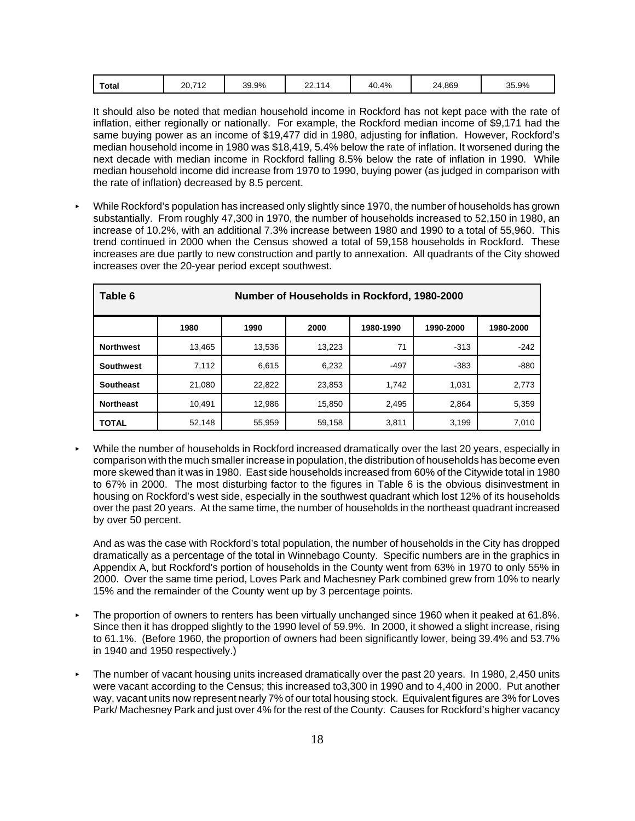| Total<br>35.9%<br>869،،<br>40.4%<br>39.9%<br>20.712<br>114<br>$\sim$<br>24<br>-~<br>. . |
|-----------------------------------------------------------------------------------------|
|-----------------------------------------------------------------------------------------|

It should also be noted that median household income in Rockford has not kept pace with the rate of inflation, either regionally or nationally. For example, the Rockford median income of \$9,171 had the same buying power as an income of \$19,477 did in 1980, adjusting for inflation. However, Rockford's median household income in 1980 was \$18,419, 5.4% below the rate of inflation. It worsened during the next decade with median income in Rockford falling 8.5% below the rate of inflation in 1990. While median household income did increase from 1970 to 1990, buying power (as judged in comparison with the rate of inflation) decreased by 8.5 percent.

< While Rockford's population has increased only slightly since 1970, the number of households has grown substantially. From roughly 47,300 in 1970, the number of households increased to 52,150 in 1980, an increase of 10.2%, with an additional 7.3% increase between 1980 and 1990 to a total of 55,960. This trend continued in 2000 when the Census showed a total of 59,158 households in Rockford. These increases are due partly to new construction and partly to annexation. All quadrants of the City showed increases over the 20-year period except southwest.

| Table 6          | Number of Households in Rockford, 1980-2000 |        |        |           |           |           |  |
|------------------|---------------------------------------------|--------|--------|-----------|-----------|-----------|--|
|                  | 1980                                        | 1990   | 2000   | 1980-1990 | 1990-2000 | 1980-2000 |  |
| <b>Northwest</b> | 13,465                                      | 13,536 | 13,223 | 71        | $-313$    | $-242$    |  |
| <b>Southwest</b> | 7,112                                       | 6,615  | 6,232  | $-497$    | $-383$    | -880      |  |
| <b>Southeast</b> | 21,080                                      | 22,822 | 23,853 | 1,742     | 1,031     | 2,773     |  |
| <b>Northeast</b> | 10,491                                      | 12,986 | 15,850 | 2,495     | 2,864     | 5,359     |  |
| <b>TOTAL</b>     | 52,148                                      | 55,959 | 59,158 | 3,811     | 3,199     | 7,010     |  |

While the number of households in Rockford increased dramatically over the last 20 years, especially in comparison with the much smaller increase in population, the distribution of households has become even more skewed than it was in 1980. East side households increased from 60% of the Citywide total in 1980 to 67% in 2000. The most disturbing factor to the figures in Table 6 is the obvious disinvestment in housing on Rockford's west side, especially in the southwest quadrant which lost 12% of its households over the past 20 years. At the same time, the number of households in the northeast quadrant increased by over 50 percent.

And as was the case with Rockford's total population, the number of households in the City has dropped dramatically as a percentage of the total in Winnebago County. Specific numbers are in the graphics in Appendix A, but Rockford's portion of households in the County went from 63% in 1970 to only 55% in 2000. Over the same time period, Loves Park and Machesney Park combined grew from 10% to nearly 15% and the remainder of the County went up by 3 percentage points.

- The proportion of owners to renters has been virtually unchanged since 1960 when it peaked at 61.8%. Since then it has dropped slightly to the 1990 level of 59.9%. In 2000, it showed a slight increase, rising to 61.1%. (Before 1960, the proportion of owners had been significantly lower, being 39.4% and 53.7% in 1940 and 1950 respectively.)
- The number of vacant housing units increased dramatically over the past 20 years. In 1980, 2,450 units were vacant according to the Census; this increased to3,300 in 1990 and to 4,400 in 2000. Put another way, vacant units now represent nearly 7% of our total housing stock. Equivalent figures are 3% for Loves Park/ Machesney Park and just over 4% for the rest of the County. Causes for Rockford's higher vacancy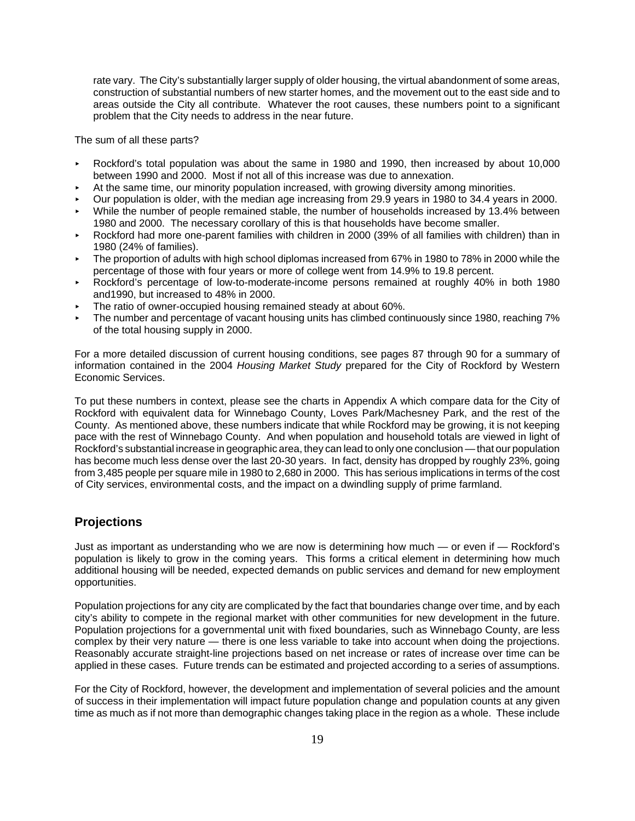rate vary. The City's substantially larger supply of older housing, the virtual abandonment of some areas, construction of substantial numbers of new starter homes, and the movement out to the east side and to areas outside the City all contribute. Whatever the root causes, these numbers point to a significant problem that the City needs to address in the near future.

The sum of all these parts?

- < Rockford's total population was about the same in 1980 and 1990, then increased by about 10,000 between 1990 and 2000. Most if not all of this increase was due to annexation.
- At the same time, our minority population increased, with growing diversity among minorities.
- < Our population is older, with the median age increasing from 29.9 years in 1980 to 34.4 years in 2000.
- While the number of people remained stable, the number of households increased by 13.4% between 1980 and 2000. The necessary corollary of this is that households have become smaller.
- Rockford had more one-parent families with children in 2000 (39% of all families with children) than in 1980 (24% of families).
- < The proportion of adults with high school diplomas increased from 67% in 1980 to 78% in 2000 while the percentage of those with four years or more of college went from 14.9% to 19.8 percent.
- < Rockford's percentage of low-to-moderate-income persons remained at roughly 40% in both 1980 and1990, but increased to 48% in 2000.
- The ratio of owner-occupied housing remained steady at about 60%.
- The number and percentage of vacant housing units has climbed continuously since 1980, reaching 7% of the total housing supply in 2000.

For a more detailed discussion of current housing conditions, see pages 87 through 90 for a summary of information contained in the 2004 *Housing Market Study* prepared for the City of Rockford by Western Economic Services.

To put these numbers in context, please see the charts in Appendix A which compare data for the City of Rockford with equivalent data for Winnebago County, Loves Park/Machesney Park, and the rest of the County. As mentioned above, these numbers indicate that while Rockford may be growing, it is not keeping pace with the rest of Winnebago County. And when population and household totals are viewed in light of Rockford's substantial increase in geographic area, they can lead to only one conclusion — that our population has become much less dense over the last 20-30 years. In fact, density has dropped by roughly 23%, going from 3,485 people per square mile in 1980 to 2,680 in 2000. This has serious implications in terms of the cost of City services, environmental costs, and the impact on a dwindling supply of prime farmland.

## **Projections**

Just as important as understanding who we are now is determining how much — or even if — Rockford's population is likely to grow in the coming years. This forms a critical element in determining how much additional housing will be needed, expected demands on public services and demand for new employment opportunities.

Population projections for any city are complicated by the fact that boundaries change over time, and by each city's ability to compete in the regional market with other communities for new development in the future. Population projections for a governmental unit with fixed boundaries, such as Winnebago County, are less complex by their very nature — there is one less variable to take into account when doing the projections. Reasonably accurate straight-line projections based on net increase or rates of increase over time can be applied in these cases. Future trends can be estimated and projected according to a series of assumptions.

For the City of Rockford, however, the development and implementation of several policies and the amount of success in their implementation will impact future population change and population counts at any given time as much as if not more than demographic changes taking place in the region as a whole. These include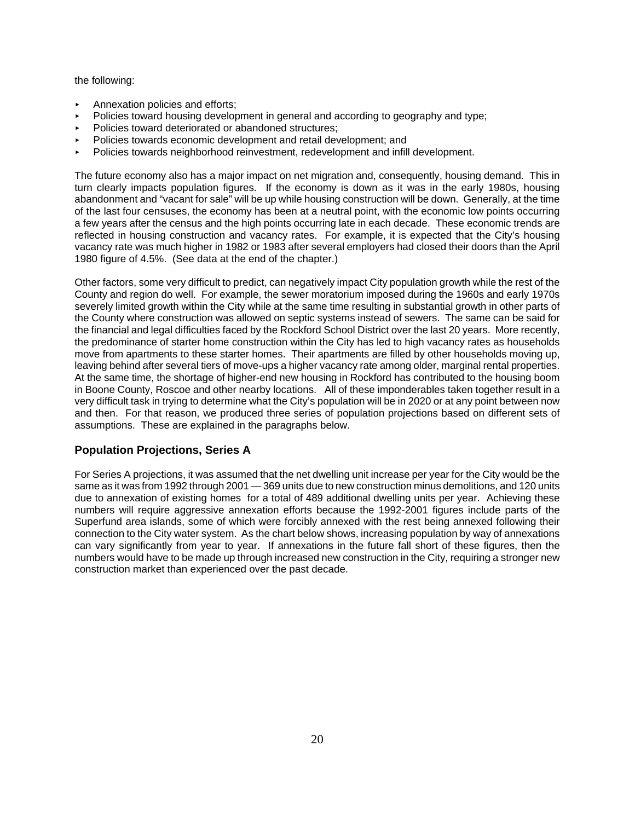the following:

- < Annexation policies and efforts;
- < Policies toward housing development in general and according to geography and type;
- Policies toward deteriorated or abandoned structures:
- < Policies towards economic development and retail development; and
- < Policies towards neighborhood reinvestment, redevelopment and infill development.

The future economy also has a major impact on net migration and, consequently, housing demand. This in turn clearly impacts population figures. If the economy is down as it was in the early 1980s, housing abandonment and "vacant for sale" will be up while housing construction will be down. Generally, at the time of the last four censuses, the economy has been at a neutral point, with the economic low points occurring a few years after the census and the high points occurring late in each decade. These economic trends are reflected in housing construction and vacancy rates. For example, it is expected that the City's housing vacancy rate was much higher in 1982 or 1983 after several employers had closed their doors than the April 1980 figure of 4.5%. (See data at the end of the chapter.)

Other factors, some very difficult to predict, can negatively impact City population growth while the rest of the County and region do well. For example, the sewer moratorium imposed during the 1960s and early 1970s severely limited growth within the City while at the same time resulting in substantial growth in other parts of the County where construction was allowed on septic systems instead of sewers. The same can be said for the financial and legal difficulties faced by the Rockford School District over the last 20 years. More recently, the predominance of starter home construction within the City has led to high vacancy rates as households move from apartments to these starter homes. Their apartments are filled by other households moving up, leaving behind after several tiers of move-ups a higher vacancy rate among older, marginal rental properties. At the same time, the shortage of higher-end new housing in Rockford has contributed to the housing boom in Boone County, Roscoe and other nearby locations. All of these imponderables taken together result in a very difficult task in trying to determine what the City's population will be in 2020 or at any point between now and then. For that reason, we produced three series of population projections based on different sets of assumptions. These are explained in the paragraphs below.

#### **Population Projections, Series A**

For Series A projections, it was assumed that the net dwelling unit increase per year for the City would be the same as it was from 1992 through 2001 — 369 units due to new construction minus demolitions, and 120 units due to annexation of existing homes for a total of 489 additional dwelling units per year. Achieving these numbers will require aggressive annexation efforts because the 1992-2001 figures include parts of the Superfund area islands, some of which were forcibly annexed with the rest being annexed following their connection to the City water system. As the chart below shows, increasing population by way of annexations can vary significantly from year to year. If annexations in the future fall short of these figures, then the numbers would have to be made up through increased new construction in the City, requiring a stronger new construction market than experienced over the past decade.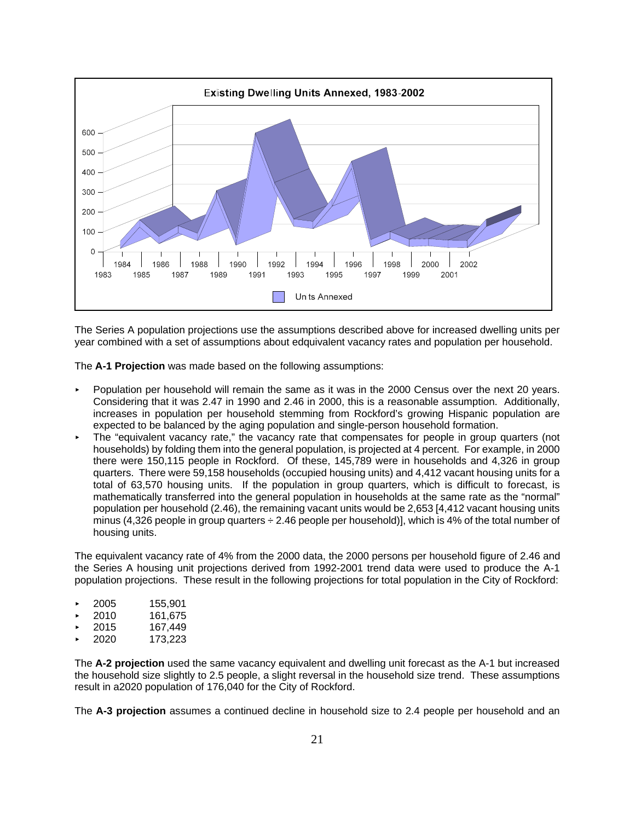

The Series A population projections use the assumptions described above for increased dwelling units per year combined with a set of assumptions about edquivalent vacancy rates and population per household.

The **A-1 Projection** was made based on the following assumptions:

- < Population per household will remain the same as it was in the 2000 Census over the next 20 years. Considering that it was 2.47 in 1990 and 2.46 in 2000, this is a reasonable assumption. Additionally, increases in population per household stemming from Rockford's growing Hispanic population are expected to be balanced by the aging population and single-person household formation.
- The "equivalent vacancy rate," the vacancy rate that compensates for people in group quarters (not households) by folding them into the general population, is projected at 4 percent. For example, in 2000 there were 150,115 people in Rockford. Of these, 145,789 were in households and 4,326 in group quarters. There were 59,158 households (occupied housing units) and 4,412 vacant housing units for a total of 63,570 housing units. If the population in group quarters, which is difficult to forecast, is mathematically transferred into the general population in households at the same rate as the "normal" population per household (2.46), the remaining vacant units would be 2,653 [4,412 vacant housing units minus (4,326 people in group quarters  $\div$  2.46 people per household)], which is 4% of the total number of housing units.

The equivalent vacancy rate of 4% from the 2000 data, the 2000 persons per household figure of 2.46 and the Series A housing unit projections derived from 1992-2001 trend data were used to produce the A-1 population projections. These result in the following projections for total population in the City of Rockford:

- < 2005 155,901
- < 2010 161,675
- < 2015 167,449
- < 2020 173,223

The **A-2 projection** used the same vacancy equivalent and dwelling unit forecast as the A-1 but increased the household size slightly to 2.5 people, a slight reversal in the household size trend. These assumptions result in a2020 population of 176,040 for the City of Rockford.

The **A-3 projection** assumes a continued decline in household size to 2.4 people per household and an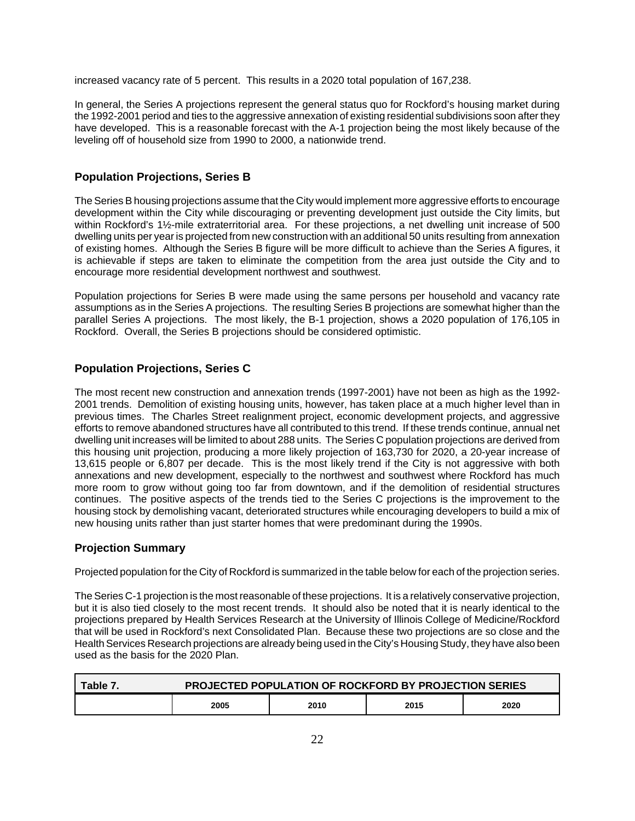increased vacancy rate of 5 percent. This results in a 2020 total population of 167,238.

In general, the Series A projections represent the general status quo for Rockford's housing market during the 1992-2001 period and ties to the aggressive annexation of existing residential subdivisions soon after they have developed. This is a reasonable forecast with the A-1 projection being the most likely because of the leveling off of household size from 1990 to 2000, a nationwide trend.

## **Population Projections, Series B**

The Series B housing projections assume that the City would implement more aggressive efforts to encourage development within the City while discouraging or preventing development just outside the City limits, but within Rockford's 1½-mile extraterritorial area. For these projections, a net dwelling unit increase of 500 dwelling units per year is projected from new construction with an additional 50 units resulting from annexation of existing homes. Although the Series B figure will be more difficult to achieve than the Series A figures, it is achievable if steps are taken to eliminate the competition from the area just outside the City and to encourage more residential development northwest and southwest.

Population projections for Series B were made using the same persons per household and vacancy rate assumptions as in the Series A projections. The resulting Series B projections are somewhat higher than the parallel Series A projections. The most likely, the B-1 projection, shows a 2020 population of 176,105 in Rockford. Overall, the Series B projections should be considered optimistic.

## **Population Projections, Series C**

The most recent new construction and annexation trends (1997-2001) have not been as high as the 1992- 2001 trends. Demolition of existing housing units, however, has taken place at a much higher level than in previous times. The Charles Street realignment project, economic development projects, and aggressive efforts to remove abandoned structures have all contributed to this trend. If these trends continue, annual net dwelling unit increases will be limited to about 288 units. The Series C population projections are derived from this housing unit projection, producing a more likely projection of 163,730 for 2020, a 20-year increase of 13,615 people or 6,807 per decade. This is the most likely trend if the City is not aggressive with both annexations and new development, especially to the northwest and southwest where Rockford has much more room to grow without going too far from downtown, and if the demolition of residential structures continues. The positive aspects of the trends tied to the Series C projections is the improvement to the housing stock by demolishing vacant, deteriorated structures while encouraging developers to build a mix of new housing units rather than just starter homes that were predominant during the 1990s.

#### **Projection Summary**

Projected population for the City of Rockford is summarized in the table below for each of the projection series.

The Series C-1 projection is the most reasonable of these projections. It is a relatively conservative projection, but it is also tied closely to the most recent trends. It should also be noted that it is nearly identical to the projections prepared by Health Services Research at the University of Illinois College of Medicine/Rockford that will be used in Rockford's next Consolidated Plan. Because these two projections are so close and the Health Services Research projections are already being used in the City's Housing Study, they have also been used as the basis for the 2020 Plan.

| Table 7. | <b>PROJECTED POPULATION OF ROCKFORD BY PROJECTION SERIES</b> |      |      |      |  |  |  |  |
|----------|--------------------------------------------------------------|------|------|------|--|--|--|--|
|          | 2005                                                         | 2010 | 2015 | 2020 |  |  |  |  |